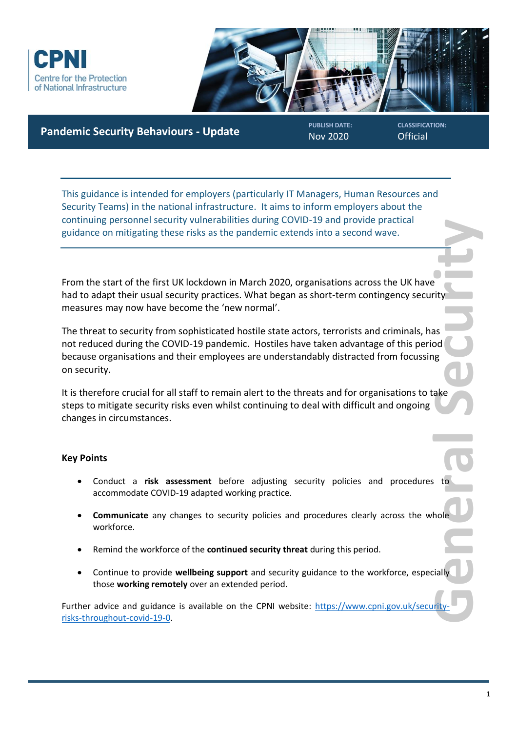



**Pandemic Security Behaviours - Update** 

Nov 2020

**CLASSIFICATION: Official** 

This guidance is intended for employers (particularly IT Managers, Human Resources and Security Teams) in the national infrastructure. It aims to inform employers about the continuing personnel security vulnerabilities during COVID-19 and provide practical guidance on mitigating these risks as the pandemic extends into a second wave.

From the start of the first UK lockdown in March 2020, organisations across the UK have had to adapt their usual security practices. What began as short-term contingency security measures may now have become the 'new normal'.

Prity<br>as od<br>ale<br>ake<br>itally<br>itally<br>frity-The threat to security from sophisticated hostile state actors, terrorists and criminals, has not reduced during the COVID-19 pandemic. Hostiles have taken advantage of this period because organisations and their employees are understandably distracted from focussing on security.

It is therefore crucial for all staff to remain alert to the threats and for organisations to take steps to mitigate security risks even whilst continuing to deal with difficult and ongoing changes in circumstances.

### **Key Points**

- Conduct a **risk assessment** before adjusting security policies and procedures to accommodate COVID-19 adapted working practice.
- **Communicate** any changes to security policies and procedures clearly across the whole workforce.
- Remind the workforce of the **continued security threat** during this period.
- Continue to provide **wellbeing support** and security guidance to the workforce, especially those **working remotely** over an extended period.

Further advice and guidance is available on the CPNI website: [https://www.cpni.gov.uk/security](https://www.cpni.gov.uk/security-risks-throughout-covid-19-0)[risks-throughout-covid-19-0.](https://www.cpni.gov.uk/security-risks-throughout-covid-19-0)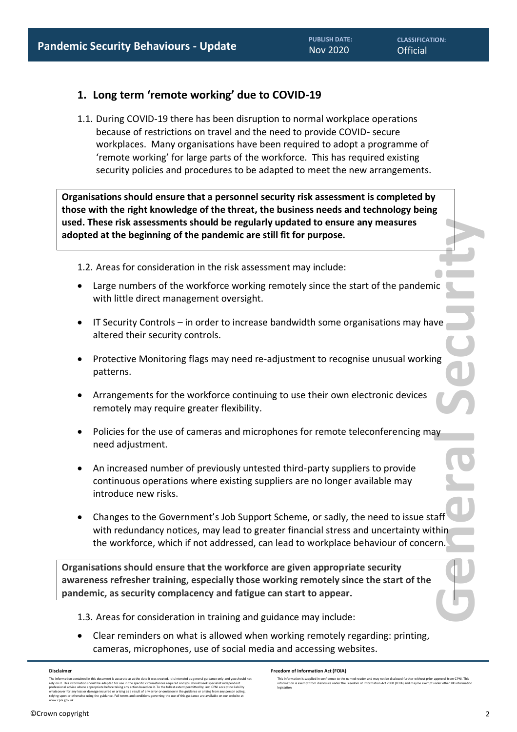# **1. Long term 'remote working' due to COVID-19**

1.1. During COVID-19 there has been disruption to normal workplace operations because of restrictions on travel and the need to provide COVID- secure workplaces. Many organisations have been required to adopt a programme of 'remote working' for large parts of the workforce. This has required existing security policies and procedures to be adapted to meet the new arrangements.

**Organisations should ensure that a personnel security risk assessment is completed by those with the right knowledge of the threat, the business needs and technology being used. These risk assessments should be regularly updated to ensure any measures adopted at the beginning of the pandemic are still fit for purpose.**

1.2. Areas for consideration in the risk assessment may include:

- Large numbers of the workforce working remotely since the start of the pandemic with little direct management oversight.
- IT Security Controls in order to increase bandwidth some organisations may have altered their security controls.
- Protective Monitoring flags may need re-adjustment to recognise unusual working patterns.
- Arrangements for the workforce continuing to use their own electronic devices remotely may require greater flexibility.
- Policies for the use of cameras and microphones for remote teleconferencing may need adjustment.
- An increased number of previously untested third-party suppliers to provide continuous operations where existing suppliers are no longer available may introduce new risks.
- **General Security**<br>
Beneral Security<br>
Beneral Security<br>
Beneral Security<br>
Beneral Security<br>
Beneral Security<br>
Beneral Security<br>
Beneral Security<br>
Beneral Security<br>
Beneral Security<br>
Beneral Security<br>
Beneral Security<br>
Bene • Changes to the Government's Job Support Scheme, or sadly, the need to issue staff with redundancy notices, may lead to greater financial stress and uncertainty within the workforce, which if not addressed, can lead to workplace behaviour of concern.

**Organisations should ensure that the workforce are given appropriate security awareness refresher training, especially those working remotely since the start of the pandemic, as security complacency and fatigue can start to appear.** 

- 1.3. Areas for consideration in training and guidance may include:
- Clear reminders on what is allowed when working remotely regarding: printing, cameras, microphones, use of social media and accessing websites.

**Disclaimer**

The information contained in this document is accurate as at the date it was created. It is intended as general guidance only and you should not<br>rely on it. This information should be adapted for use in the specific circum professional advice where appropriate before taking any action based on it. To the fullest extent permitted by law, CPNI except no lability<br>whatsoever for any loss or damage incurred or arising as a result of any error or

**Freedom of Information Act (FOIA)** 

This information is supplied in confidence to the named reader and may not be disclosed further without prior approval from CPNI. This<br>information is exempt from disclosure under the Freedom of Information Act 2000 (FOIA) legislation.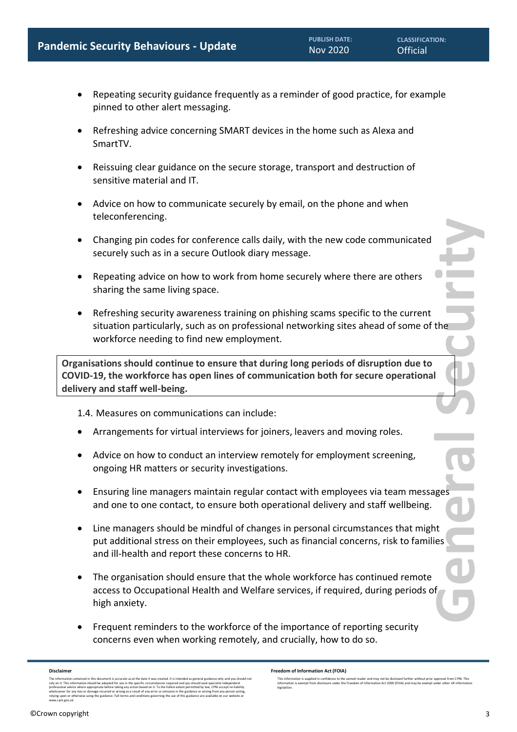- Repeating security guidance frequently as a reminder of good practice, for example pinned to other alert messaging.
- Refreshing advice concerning SMART devices in the home such as Alexa and SmartTV.
- Reissuing clear guidance on the secure storage, transport and destruction of sensitive material and IT.
- Advice on how to communicate securely by email, on the phone and when teleconferencing.
- Changing pin codes for conference calls daily, with the new code communicated securely such as in a secure Outlook diary message.
- Repeating advice on how to work from home securely where there are others sharing the same living space.
- ERCICIES SECURIC SECURITY • Refreshing security awareness training on phishing scams specific to the current situation particularly, such as on professional networking sites ahead of some of the workforce needing to find new employment.

**Organisations should continue to ensure that during long periods of disruption due to COVID-19, the workforce has open lines of communication both for secure operational delivery and staff well-being.**

1.4. Measures on communications can include:

- Arrangements for virtual interviews for joiners, leavers and moving roles.
- Advice on how to conduct an interview remotely for employment screening, ongoing HR matters or security investigations.
- Ensuring line managers maintain regular contact with employees via team messages and one to one contact, to ensure both operational delivery and staff wellbeing.
- Line managers should be mindful of changes in personal circumstances that might put additional stress on their employees, such as financial concerns, risk to families and ill-health and report these concerns to HR.
- The organisation should ensure that the whole workforce has continued remote access to Occupational Health and Welfare services, if required, during periods of high anxiety.
- Frequent reminders to the workforce of the importance of reporting security concerns even when working remotely, and crucially, how to do so.

### **Disclaimer**

The information contained in this document is accurate as at the date it was created. It is intended as general guidance only and you should not<br>rely on it. This information should be adapted for use in the specific circum whatsoever for any loss or damage incurred or arising as a result of any error or omission in the guidance or arising from any person acting,<br>relying upon or otherwise using the guidance. Full terms and conditions governin

**Freedom of Information Act (FOIA)** 

This information is supplied in confidence to the named reader and may not be disclosed further without prior approval from CPNI. This<br>information is exempt from disclosure under the Freedom of Information Act 2000 (FOIA) legislation.